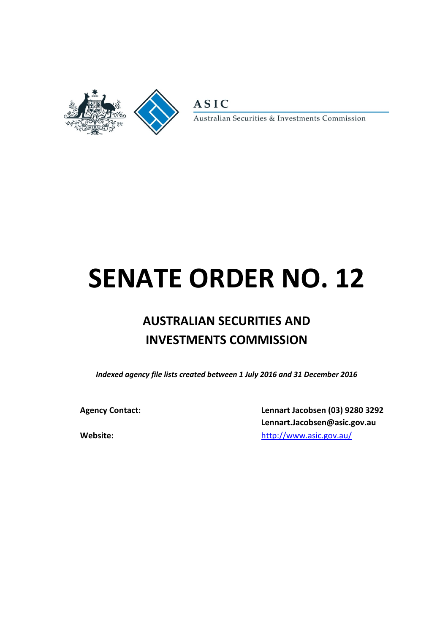

**ASIC** 

Australian Securities & Investments Commission

# **SENATE ORDER NO. 12**

# **AUSTRALIAN SECURITIES AND INVESTMENTS COMMISSION**

*Indexed agency file lists created between 1 July 2016 and 31 December 2016*

**Agency Contact: Lennart Jacobsen (03) 9280 3292 Lennart.Jacobsen@asic.gov.au Website:** [http://www.asic.gov.au/](http://asic.gov.au/about-asic/dealing-with-asic/senate-continuing-order-for-the-production-of-departmental-file-lists/)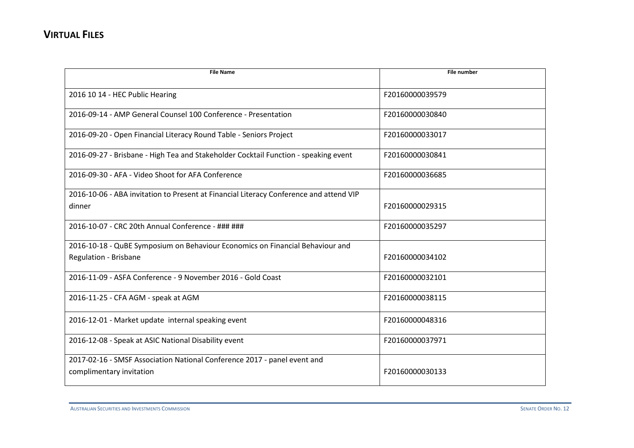| <b>File Name</b>                                                                                       | <b>File number</b> |
|--------------------------------------------------------------------------------------------------------|--------------------|
| 2016 10 14 - HEC Public Hearing                                                                        | F20160000039579    |
| 2016-09-14 - AMP General Counsel 100 Conference - Presentation                                         | F20160000030840    |
| 2016-09-20 - Open Financial Literacy Round Table - Seniors Project                                     | F20160000033017    |
| 2016-09-27 - Brisbane - High Tea and Stakeholder Cocktail Function - speaking event                    | F20160000030841    |
| 2016-09-30 - AFA - Video Shoot for AFA Conference                                                      | F20160000036685    |
| 2016-10-06 - ABA invitation to Present at Financial Literacy Conference and attend VIP<br>dinner       | F20160000029315    |
| 2016-10-07 - CRC 20th Annual Conference - ### ###                                                      | F20160000035297    |
| 2016-10-18 - QuBE Symposium on Behaviour Economics on Financial Behaviour and<br>Regulation - Brisbane | F20160000034102    |
| 2016-11-09 - ASFA Conference - 9 November 2016 - Gold Coast                                            | F20160000032101    |
| 2016-11-25 - CFA AGM - speak at AGM                                                                    | F20160000038115    |
| 2016-12-01 - Market update internal speaking event                                                     | F20160000048316    |
| 2016-12-08 - Speak at ASIC National Disability event                                                   | F20160000037971    |
| 2017-02-16 - SMSF Association National Conference 2017 - panel event and<br>complimentary invitation   | F20160000030133    |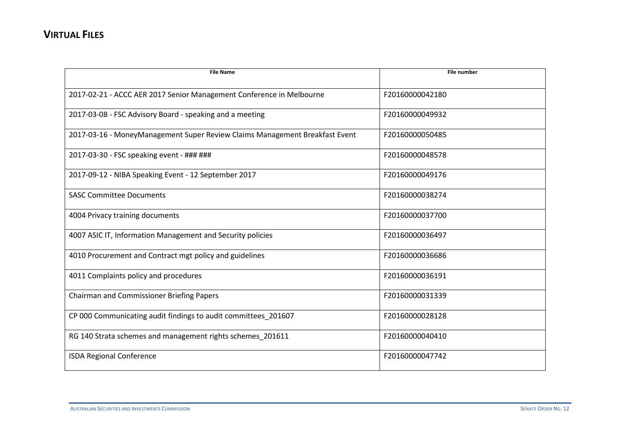| <b>File Name</b>                                                            | <b>File number</b> |
|-----------------------------------------------------------------------------|--------------------|
|                                                                             |                    |
| 2017-02-21 - ACCC AER 2017 Senior Management Conference in Melbourne        | F20160000042180    |
| 2017-03-08 - FSC Advisory Board - speaking and a meeting                    | F20160000049932    |
| 2017-03-16 - MoneyManagement Super Review Claims Management Breakfast Event | F20160000050485    |
| 2017-03-30 - FSC speaking event - ### ###                                   | F20160000048578    |
| 2017-09-12 - NIBA Speaking Event - 12 September 2017                        | F20160000049176    |
| <b>SASC Committee Documents</b>                                             | F20160000038274    |
| 4004 Privacy training documents                                             | F20160000037700    |
| 4007 ASIC IT, Information Management and Security policies                  | F20160000036497    |
| 4010 Procurement and Contract mgt policy and guidelines                     | F20160000036686    |
| 4011 Complaints policy and procedures                                       | F20160000036191    |
| Chairman and Commissioner Briefing Papers                                   | F20160000031339    |
| CP 000 Communicating audit findings to audit committees_201607              | F20160000028128    |
| RG 140 Strata schemes and management rights schemes_201611                  | F20160000040410    |
| <b>ISDA Regional Conference</b>                                             | F20160000047742    |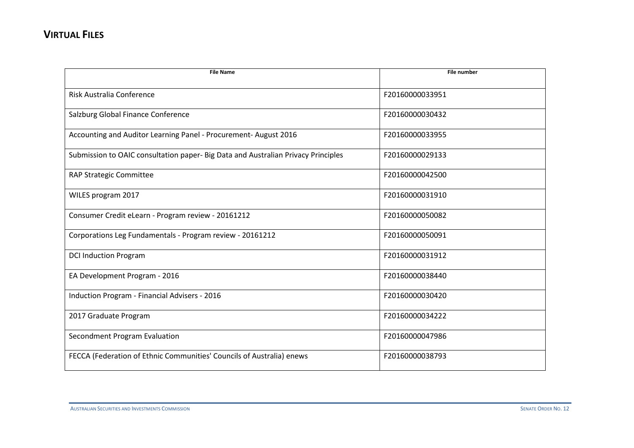| <b>File Name</b>                                                                  | <b>File number</b> |
|-----------------------------------------------------------------------------------|--------------------|
| Risk Australia Conference                                                         | F20160000033951    |
| Salzburg Global Finance Conference                                                | F20160000030432    |
| Accounting and Auditor Learning Panel - Procurement- August 2016                  | F20160000033955    |
| Submission to OAIC consultation paper- Big Data and Australian Privacy Principles | F20160000029133    |
| RAP Strategic Committee                                                           | F20160000042500    |
| WILES program 2017                                                                | F20160000031910    |
| Consumer Credit eLearn - Program review - 20161212                                | F20160000050082    |
| Corporations Leg Fundamentals - Program review - 20161212                         | F20160000050091    |
| <b>DCI Induction Program</b>                                                      | F20160000031912    |
| EA Development Program - 2016                                                     | F20160000038440    |
| Induction Program - Financial Advisers - 2016                                     | F20160000030420    |
| 2017 Graduate Program                                                             | F20160000034222    |
| Secondment Program Evaluation                                                     | F20160000047986    |
| FECCA (Federation of Ethnic Communities' Councils of Australia) enews             | F20160000038793    |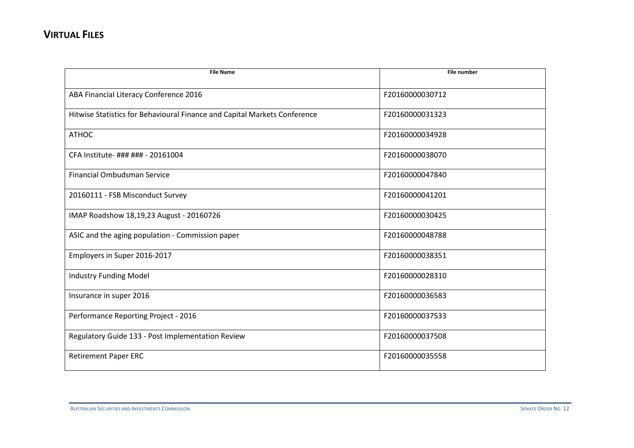| <b>File Name</b>                                                          | <b>File number</b> |
|---------------------------------------------------------------------------|--------------------|
|                                                                           |                    |
| ABA Financial Literacy Conference 2016                                    | F20160000030712    |
| Hitwise Statistics for Behavioural Finance and Capital Markets Conference | F20160000031323    |
| <b>ATHOC</b>                                                              | F20160000034928    |
| CFA Institute- ### ### - 20161004                                         | F20160000038070    |
| <b>Financial Ombudsman Service</b>                                        | F20160000047840    |
| 20160111 - FSB Misconduct Survey                                          | F20160000041201    |
| IMAP Roadshow 18,19,23 August - 20160726                                  | F20160000030425    |
| ASIC and the aging population - Commission paper                          | F20160000048788    |
| Employers in Super 2016-2017                                              | F20160000038351    |
| <b>Industry Funding Model</b>                                             | F20160000028310    |
| Insurance in super 2016                                                   | F20160000036583    |
| Performance Reporting Project - 2016                                      | F20160000037533    |
| Regulatory Guide 133 - Post Implementation Review                         | F20160000037508    |
| <b>Retirement Paper ERC</b>                                               | F20160000035558    |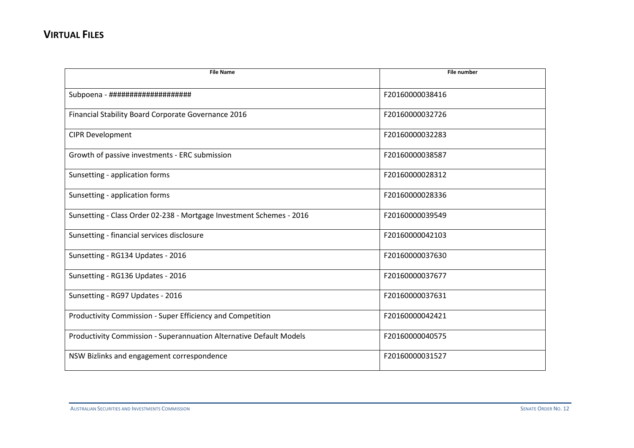| <b>File Name</b>                                                           | <b>File number</b> |
|----------------------------------------------------------------------------|--------------------|
|                                                                            |                    |
| Subpoena - ####################                                            | F20160000038416    |
| Financial Stability Board Corporate Governance 2016                        | F20160000032726    |
| <b>CIPR Development</b>                                                    | F20160000032283    |
| Growth of passive investments - ERC submission                             | F20160000038587    |
| Sunsetting - application forms                                             | F20160000028312    |
| Sunsetting - application forms                                             | F20160000028336    |
| Sunsetting - Class Order 02-238 - Mortgage Investment Schemes - 2016       | F20160000039549    |
| Sunsetting - financial services disclosure                                 | F20160000042103    |
| Sunsetting - RG134 Updates - 2016                                          | F20160000037630    |
| Sunsetting - RG136 Updates - 2016                                          | F20160000037677    |
| Sunsetting - RG97 Updates - 2016                                           | F20160000037631    |
| Productivity Commission - Super Efficiency and Competition                 | F20160000042421    |
| <b>Productivity Commission - Superannuation Alternative Default Models</b> | F20160000040575    |
| NSW Bizlinks and engagement correspondence                                 | F20160000031527    |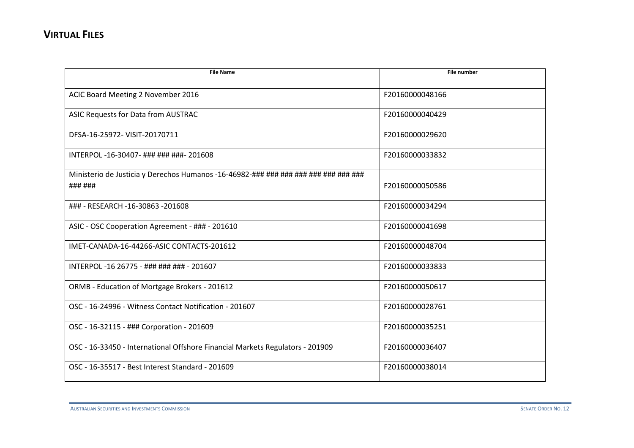| ACIC Board Meeting 2 November 2016<br>F20160000048166<br>ASIC Requests for Data from AUSTRAC<br>F20160000040429<br>DFSA-16-25972- VISIT-20170711<br>F20160000029620<br>INTERPOL -16-30407- ### ### ###- 201608<br>F20160000033832<br>Ministerio de Justicia y Derechos Humanos -16-46982-### ### ### ### ### ### ###<br>### ###<br>F20160000050586<br>### - RESEARCH -16-30863 -201608<br>F20160000034294<br>ASIC - OSC Cooperation Agreement - ### - 201610<br>F20160000041698<br>IMET-CANADA-16-44266-ASIC CONTACTS-201612<br>F20160000048704<br>INTERPOL -16 26775 - ### ### ### - 201607<br>F20160000033833<br>ORMB - Education of Mortgage Brokers - 201612<br>F20160000050617<br>OSC - 16-24996 - Witness Contact Notification - 201607<br>F20160000028761<br>OSC - 16-32115 - ### Corporation - 201609<br>F20160000035251<br>OSC - 16-33450 - International Offshore Financial Markets Regulators - 201909<br>F20160000036407<br>OSC - 16-35517 - Best Interest Standard - 201609<br>F20160000038014 | <b>File Name</b> | <b>File number</b> |
|-------------------------------------------------------------------------------------------------------------------------------------------------------------------------------------------------------------------------------------------------------------------------------------------------------------------------------------------------------------------------------------------------------------------------------------------------------------------------------------------------------------------------------------------------------------------------------------------------------------------------------------------------------------------------------------------------------------------------------------------------------------------------------------------------------------------------------------------------------------------------------------------------------------------------------------------------------------------------------------------------------------|------------------|--------------------|
|                                                                                                                                                                                                                                                                                                                                                                                                                                                                                                                                                                                                                                                                                                                                                                                                                                                                                                                                                                                                             |                  |                    |
|                                                                                                                                                                                                                                                                                                                                                                                                                                                                                                                                                                                                                                                                                                                                                                                                                                                                                                                                                                                                             |                  |                    |
|                                                                                                                                                                                                                                                                                                                                                                                                                                                                                                                                                                                                                                                                                                                                                                                                                                                                                                                                                                                                             |                  |                    |
|                                                                                                                                                                                                                                                                                                                                                                                                                                                                                                                                                                                                                                                                                                                                                                                                                                                                                                                                                                                                             |                  |                    |
|                                                                                                                                                                                                                                                                                                                                                                                                                                                                                                                                                                                                                                                                                                                                                                                                                                                                                                                                                                                                             |                  |                    |
|                                                                                                                                                                                                                                                                                                                                                                                                                                                                                                                                                                                                                                                                                                                                                                                                                                                                                                                                                                                                             |                  |                    |
|                                                                                                                                                                                                                                                                                                                                                                                                                                                                                                                                                                                                                                                                                                                                                                                                                                                                                                                                                                                                             |                  |                    |
|                                                                                                                                                                                                                                                                                                                                                                                                                                                                                                                                                                                                                                                                                                                                                                                                                                                                                                                                                                                                             |                  |                    |
|                                                                                                                                                                                                                                                                                                                                                                                                                                                                                                                                                                                                                                                                                                                                                                                                                                                                                                                                                                                                             |                  |                    |
|                                                                                                                                                                                                                                                                                                                                                                                                                                                                                                                                                                                                                                                                                                                                                                                                                                                                                                                                                                                                             |                  |                    |
|                                                                                                                                                                                                                                                                                                                                                                                                                                                                                                                                                                                                                                                                                                                                                                                                                                                                                                                                                                                                             |                  |                    |
|                                                                                                                                                                                                                                                                                                                                                                                                                                                                                                                                                                                                                                                                                                                                                                                                                                                                                                                                                                                                             |                  |                    |
|                                                                                                                                                                                                                                                                                                                                                                                                                                                                                                                                                                                                                                                                                                                                                                                                                                                                                                                                                                                                             |                  |                    |
|                                                                                                                                                                                                                                                                                                                                                                                                                                                                                                                                                                                                                                                                                                                                                                                                                                                                                                                                                                                                             |                  |                    |
|                                                                                                                                                                                                                                                                                                                                                                                                                                                                                                                                                                                                                                                                                                                                                                                                                                                                                                                                                                                                             |                  |                    |
|                                                                                                                                                                                                                                                                                                                                                                                                                                                                                                                                                                                                                                                                                                                                                                                                                                                                                                                                                                                                             |                  |                    |
|                                                                                                                                                                                                                                                                                                                                                                                                                                                                                                                                                                                                                                                                                                                                                                                                                                                                                                                                                                                                             |                  |                    |
|                                                                                                                                                                                                                                                                                                                                                                                                                                                                                                                                                                                                                                                                                                                                                                                                                                                                                                                                                                                                             |                  |                    |
|                                                                                                                                                                                                                                                                                                                                                                                                                                                                                                                                                                                                                                                                                                                                                                                                                                                                                                                                                                                                             |                  |                    |
|                                                                                                                                                                                                                                                                                                                                                                                                                                                                                                                                                                                                                                                                                                                                                                                                                                                                                                                                                                                                             |                  |                    |
|                                                                                                                                                                                                                                                                                                                                                                                                                                                                                                                                                                                                                                                                                                                                                                                                                                                                                                                                                                                                             |                  |                    |
|                                                                                                                                                                                                                                                                                                                                                                                                                                                                                                                                                                                                                                                                                                                                                                                                                                                                                                                                                                                                             |                  |                    |
|                                                                                                                                                                                                                                                                                                                                                                                                                                                                                                                                                                                                                                                                                                                                                                                                                                                                                                                                                                                                             |                  |                    |
|                                                                                                                                                                                                                                                                                                                                                                                                                                                                                                                                                                                                                                                                                                                                                                                                                                                                                                                                                                                                             |                  |                    |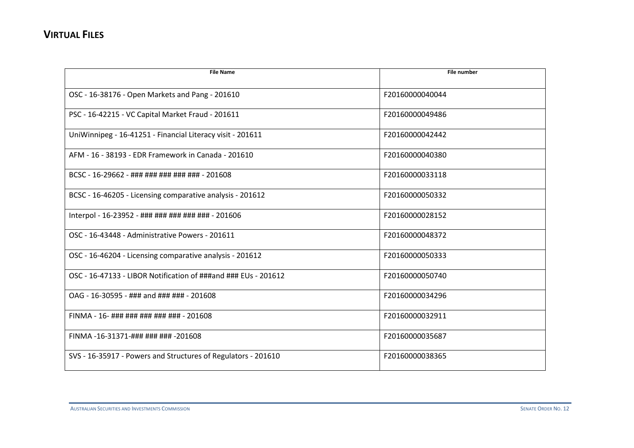| <b>File Name</b>                                               | <b>File number</b> |
|----------------------------------------------------------------|--------------------|
| OSC - 16-38176 - Open Markets and Pang - 201610                | F20160000040044    |
| PSC - 16-42215 - VC Capital Market Fraud - 201611              | F20160000049486    |
| UniWinnipeg - 16-41251 - Financial Literacy visit - 201611     | F20160000042442    |
| AFM - 16 - 38193 - EDR Framework in Canada - 201610            | F20160000040380    |
| BCSC - 16-29662 - ### ### ### ### ### - 201608                 | F20160000033118    |
| BCSC - 16-46205 - Licensing comparative analysis - 201612      | F20160000050332    |
| Interpol - 16-23952 - ### ### ### ### ### - 201606             | F20160000028152    |
| OSC - 16-43448 - Administrative Powers - 201611                | F20160000048372    |
| OSC - 16-46204 - Licensing comparative analysis - 201612       | F20160000050333    |
| OSC - 16-47133 - LIBOR Notification of ###and ### EUs - 201612 | F20160000050740    |
| OAG - 16-30595 - ### and ### ### - 201608                      | F20160000034296    |
| FINMA - 16- ### ### ### ### ### - 201608                       | F20160000032911    |
| FINMA-16-31371-### ### ### -201608                             | F20160000035687    |
| SVS - 16-35917 - Powers and Structures of Regulators - 201610  | F20160000038365    |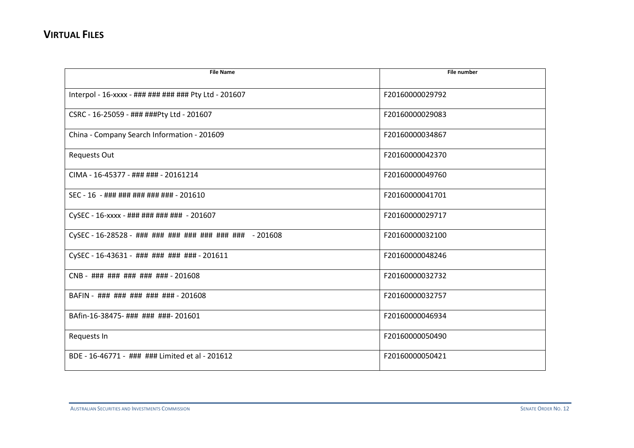| <b>File Name</b>                                        | <b>File number</b> |
|---------------------------------------------------------|--------------------|
|                                                         |                    |
| Interpol - 16-xxxx - ### ### ### ### Pty Ltd - 201607   | F20160000029792    |
| CSRC - 16-25059 - ### ###Pty Ltd - 201607               | F20160000029083    |
| China - Company Search Information - 201609             | F20160000034867    |
| <b>Requests Out</b>                                     | F20160000042370    |
| CIMA - 16-45377 - ### ### - 20161214                    | F20160000049760    |
| SEC - 16 - ### ### ### ### ### - 201610                 | F20160000041701    |
| CySEC - 16-xxxx - ### ### ### ### - 201607              | F20160000029717    |
| CySEC - 16-28528 - ### ### ### ### ### ### ### - 201608 | F20160000032100    |
| CySEC - 16-43631 - ### ### ### ### - 201611             | F20160000048246    |
| CNB - ### ### ### ### ### - 201608                      | F20160000032732    |
| BAFIN - ### ### ### ### ### - 201608                    | F20160000032757    |
| BAfin-16-38475-### ### ###- 201601                      | F20160000046934    |
| Requests In                                             | F20160000050490    |
| BDE - 16-46771 - ### ### Limited et al - 201612         | F20160000050421    |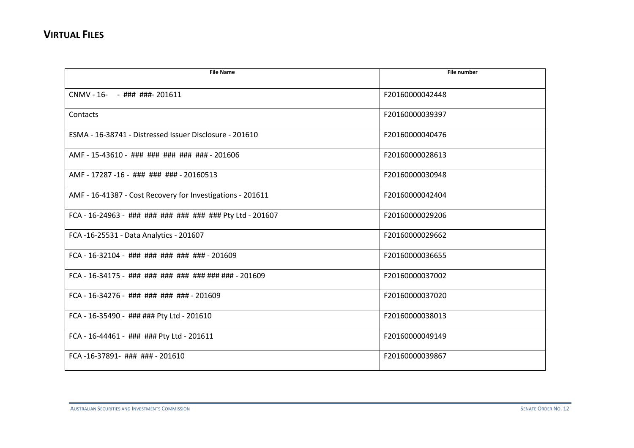| <b>File Name</b>                                           | File number     |
|------------------------------------------------------------|-----------------|
| CNMV - 16- - ### ###- 201611                               | F20160000042448 |
| Contacts                                                   | F20160000039397 |
| ESMA - 16-38741 - Distressed Issuer Disclosure - 201610    | F20160000040476 |
| AMF - 15-43610 - ### ### ### ### ### - 201606              | F20160000028613 |
| AMF - 17287 -16 - ### ### ### - 20160513                   | F20160000030948 |
| AMF - 16-41387 - Cost Recovery for Investigations - 201611 | F20160000042404 |
| FCA - 16-24963 - ### ### ### ### ### ### Pty Ltd - 201607  | F20160000029206 |
| FCA -16-25531 - Data Analytics - 201607                    | F20160000029662 |
| FCA - 16-32104 - ### ### ### ### ### - 201609              | F20160000036655 |
| FCA - 16-34175 - ### ### ### ### ### ### ### - 201609      | F20160000037002 |
| FCA - 16-34276 - ### ### ### ### - 201609                  | F20160000037020 |
| FCA - 16-35490 - ### ### Pty Ltd - 201610                  | F20160000038013 |
| FCA - 16-44461 - ### ### Pty Ltd - 201611                  | F20160000049149 |
| FCA-16-37891- ### ### - 201610                             | F20160000039867 |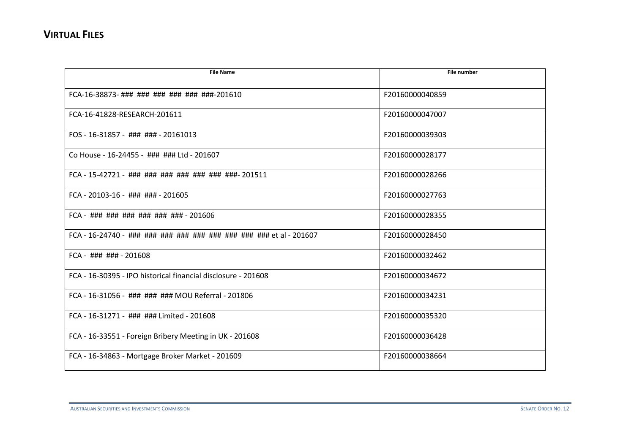| <b>File Name</b>                                              | <b>File number</b> |
|---------------------------------------------------------------|--------------------|
|                                                               |                    |
| FCA-16-38873- ### ### ### ### ### ###-201610                  | F20160000040859    |
| FCA-16-41828-RESEARCH-201611                                  | F20160000047007    |
| FOS - 16-31857 - ### ### - 20161013                           | F20160000039303    |
| Co House - 16-24455 - ### ### Ltd - 201607                    | F20160000028177    |
| FCA - 15-42721 - ### ### ### ### ### ### ###- 201511          | F20160000028266    |
| $FCA - 20103 - 16 - 444 + 444 - 201605$                       | F20160000027763    |
| FCA - ### ### ### ### ### ### - 201606                        | F20160000028355    |
|                                                               | F20160000028450    |
| $FCA - # # # # # + 201608$                                    | F20160000032462    |
| ECA - 16-30395 - IPO historical financial disclosure - 201608 | F20160000034672    |
| FCA - 16-31056 - ### ### ### MOU Referral - 201806            | F20160000034231    |
| FCA - 16-31271 - ### ### Limited - 201608                     | F20160000035320    |
| FCA - 16-33551 - Foreign Bribery Meeting in UK - 201608       | F20160000036428    |
| FCA - 16-34863 - Mortgage Broker Market - 201609              | F20160000038664    |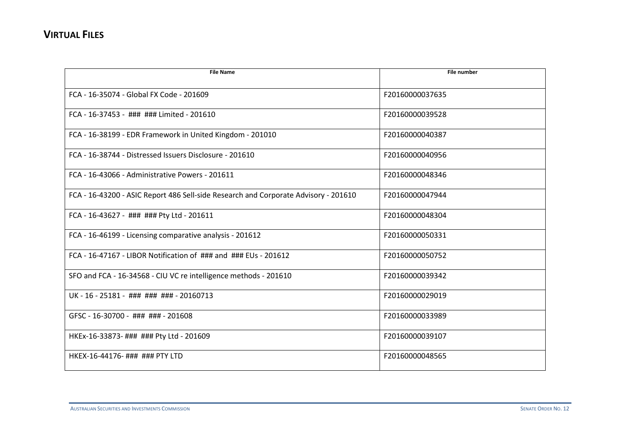| <b>File Name</b>                                                                    | <b>File number</b> |
|-------------------------------------------------------------------------------------|--------------------|
| FCA - 16-35074 - Global FX Code - 201609                                            | F20160000037635    |
| FCA - 16-37453 - ### ### Limited - 201610                                           | F20160000039528    |
| FCA - 16-38199 - EDR Framework in United Kingdom - 201010                           | F20160000040387    |
| FCA - 16-38744 - Distressed Issuers Disclosure - 201610                             | F20160000040956    |
| FCA - 16-43066 - Administrative Powers - 201611                                     | F20160000048346    |
| FCA - 16-43200 - ASIC Report 486 Sell-side Research and Corporate Advisory - 201610 | F20160000047944    |
| FCA - 16-43627 - ### ### Pty Ltd - 201611                                           | F20160000048304    |
| FCA - 16-46199 - Licensing comparative analysis - 201612                            | F20160000050331    |
| FCA - 16-47167 - LIBOR Notification of ### and ### EUs - 201612                     | F20160000050752    |
| SFO and FCA - 16-34568 - CIU VC re intelligence methods - 201610                    | F20160000039342    |
| UK-16-25181-##########+-20160713                                                    | F20160000029019    |
| GFSC - 16-30700 - ### ### - 201608                                                  | F20160000033989    |
| HKEx-16-33873- ### ### Pty Ltd - 201609                                             | F20160000039107    |
| HKEX-16-44176- ### ### PTY LTD                                                      | F20160000048565    |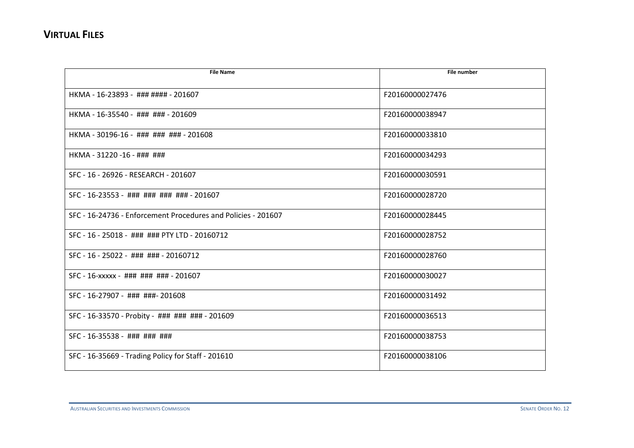| <b>File Name</b>                                              | <b>File number</b> |
|---------------------------------------------------------------|--------------------|
|                                                               |                    |
| HKMA - 16-23893 - ### #### - 201607                           | F20160000027476    |
| HKMA - 16-35540 - ### ### - 201609                            | F20160000038947    |
| HKMA - 30196-16 - ### ### ### - 201608                        | F20160000033810    |
| HKMA - 31220 -16 - ### ###                                    | F20160000034293    |
| SFC - 16 - 26926 - RESEARCH - 201607                          | F20160000030591    |
| SFC - 16-23553 - ### ### ### ### - 201607                     | F20160000028720    |
| SFC - 16-24736 - Enforcement Procedures and Policies - 201607 | F20160000028445    |
| SFC - 16 - 25018 - ### ### PTY LTD - 20160712                 | F20160000028752    |
| SFC - 16 - 25022 - ### ### - 20160712                         | F20160000028760    |
| SFC - 16-xxxxx - ### ### ### - 201607                         | F20160000030027    |
| SFC - 16-27907 - ### ###- 201608                              | F20160000031492    |
| SFC - 16-33570 - Probity - ### ### ### - 201609               | F20160000036513    |
| SFC - 16-35538 - ### ### ###                                  | F20160000038753    |
| SFC - 16-35669 - Trading Policy for Staff - 201610            | F20160000038106    |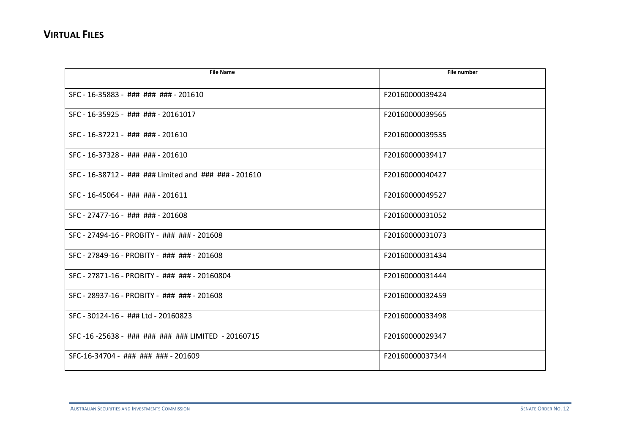| <b>File Name</b>                                      | File number     |
|-------------------------------------------------------|-----------------|
|                                                       |                 |
| SFC - 16-35883 - ### ### ### - 201610                 | F20160000039424 |
| SFC - 16-35925 - ### ### - 20161017                   | F20160000039565 |
| SFC - 16-37221 - ### ### - 201610                     | F20160000039535 |
| SFC - 16-37328 - ### ### - 201610                     | F20160000039417 |
| SFC - 16-38712 - ### ### Limited and ### ### - 201610 | F20160000040427 |
| SFC - 16-45064 - ### ### - 201611                     | F20160000049527 |
| SFC - 27477-16 - ### ### - 201608                     | F20160000031052 |
| SFC - 27494-16 - PROBITY - ### ### - 201608           | F20160000031073 |
| SFC - 27849-16 - PROBITY - ### ### - 201608           | F20160000031434 |
| SFC - 27871-16 - PROBITY - ### ### - 20160804         | F20160000031444 |
| SFC - 28937-16 - PROBITY - ### ### - 201608           | F20160000032459 |
| SFC - 30124-16 - ### Ltd - 20160823                   | F20160000033498 |
| SFC-16-25638 - ### ### ### ### LIMITED - 20160715     | F20160000029347 |
| SFC-16-34704 - ### ### ### - 201609                   | F20160000037344 |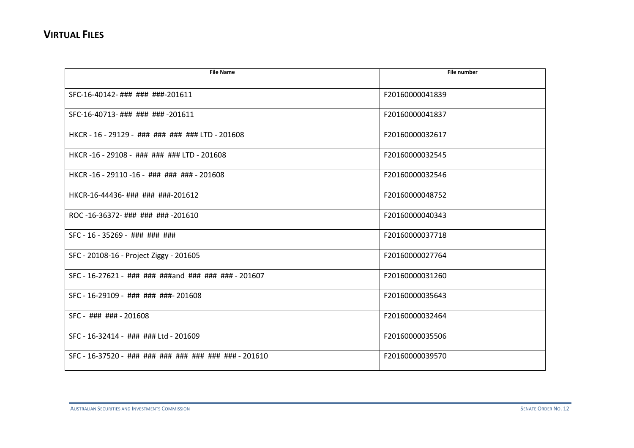| <b>File Name</b>                                      | <b>File number</b> |
|-------------------------------------------------------|--------------------|
|                                                       |                    |
| SFC-16-40142-###########-201611                       | F20160000041839    |
| SFC-16-40713-### ### ### -201611                      | F20160000041837    |
| HKCR - 16 - 29129 - ### ### ### ### LTD - 201608      | F20160000032617    |
| HKCR-16-29108- ### ### ### LTD-201608                 | F20160000032545    |
| HKCR-16-29110-16-##########+-201608                   | F20160000032546    |
| HKCR-16-44436-### ### ###-201612                      | F20160000048752    |
| ROC-16-36372-### ### ### -201610                      | F20160000040343    |
| SFC - 16 - 35269 - ### ### ###                        | F20160000037718    |
| SFC - 20108-16 - Project Ziggy - 201605               | F20160000027764    |
| SFC - 16-27621 - ### ### ###and ### ### ### - 201607  | F20160000031260    |
| SFC - 16-29109 - ### ### ###- 201608                  | F20160000035643    |
| SFC - ### ### - 201608                                | F20160000032464    |
| SFC - 16-32414 - ### ### Ltd - 201609                 | F20160000035506    |
| SFC - 16-37520 - ### ### ### ### ### ### ### - 201610 | F20160000039570    |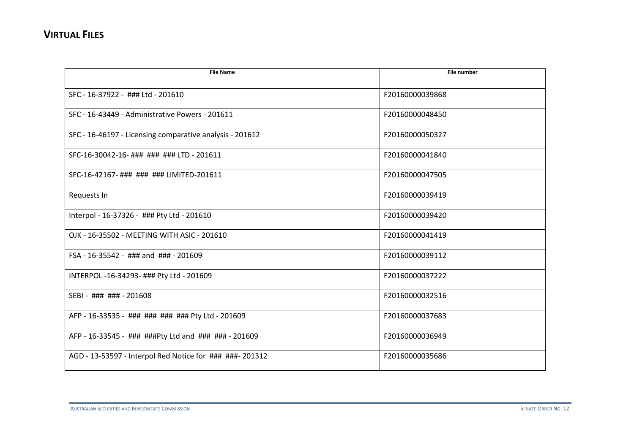| <b>File Name</b>                                         | File number     |
|----------------------------------------------------------|-----------------|
| SFC - 16-37922 - ### Ltd - 201610                        | F20160000039868 |
| SFC - 16-43449 - Administrative Powers - 201611          | F20160000048450 |
| SFC - 16-46197 - Licensing comparative analysis - 201612 | F20160000050327 |
| SFC-16-30042-16- ### ### ### LTD - 201611                | F20160000041840 |
| SFC-16-42167- ### ### ### LIMITED-201611                 | F20160000047505 |
| Requests In                                              | F20160000039419 |
| Interpol - 16-37326 - ### Pty Ltd - 201610               | F20160000039420 |
| OJK - 16-35502 - MEETING WITH ASIC - 201610              | F20160000041419 |
| FSA - 16-35542 - ### and ### - 201609                    | F20160000039112 |
| INTERPOL -16-34293- ### Pty Ltd - 201609                 | F20160000037222 |
| SEBI - ### ### - 201608                                  | F20160000032516 |
| AFP - 16-33535 - ### ### ### ### Pty Ltd - 201609        | F20160000037683 |
| AFP - 16-33545 - ### ###Pty Ltd and ### ### - 201609     | F20160000036949 |
| AGD - 13-53597 - Interpol Red Notice for ### ###- 201312 | F20160000035686 |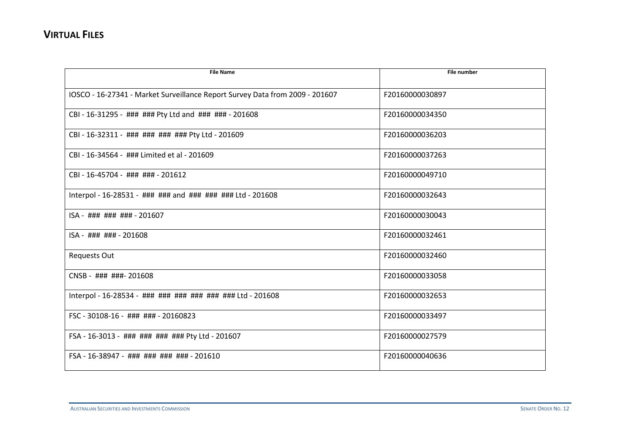| <b>File Name</b>                                                             | <b>File number</b> |
|------------------------------------------------------------------------------|--------------------|
|                                                                              |                    |
| IOSCO - 16-27341 - Market Surveillance Report Survey Data from 2009 - 201607 | F20160000030897    |
| CBI - 16-31295 - ### ### Pty Ltd and ### ### - 201608                        | F20160000034350    |
| CBI - 16-32311 - ### ### ### ### Pty Ltd - 201609                            | F20160000036203    |
| CBI - 16-34564 - ### Limited et al - 201609                                  | F20160000037263    |
| CBI - 16-45704 - ### ### - 201612                                            | F20160000049710    |
| Interpol - 16-28531 - ### ### and ### ### ### Ltd - 201608                   | F20160000032643    |
| ISA - ### ### ### - 201607                                                   | F20160000030043    |
| ISA - ### ### - 201608                                                       | F20160000032461    |
| <b>Requests Out</b>                                                          | F20160000032460    |
| CNSB - ### ###- 201608                                                       | F20160000033058    |
| Interpol - 16-28534 - ### ### ### ### ### ### Ltd - 201608                   | F20160000032653    |
| FSC - 30108-16 - ### ### - 20160823                                          | F20160000033497    |
| FSA - 16-3013 - ### ### ### ### Pty Ltd - 201607                             | F20160000027579    |
| FSA - 16-38947 - ### ### ### ### - 201610                                    | F20160000040636    |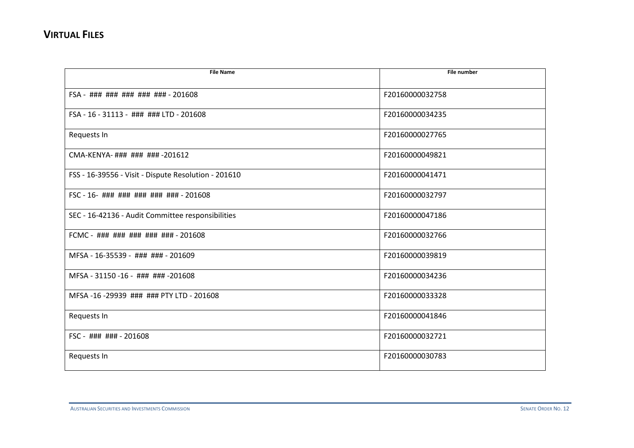| <b>File Name</b>                                     | File number     |
|------------------------------------------------------|-----------------|
|                                                      |                 |
| FSA - ### ### ### ### ### - 201608                   | F20160000032758 |
| FSA - 16 - 31113 - ### ### LTD - 201608              | F20160000034235 |
| Requests In                                          | F20160000027765 |
| CMA-KENYA-### ### ### -201612                        | F20160000049821 |
| FSS - 16-39556 - Visit - Dispute Resolution - 201610 | F20160000041471 |
| FSC - 16- ### ### ### ### ### - 201608               | F20160000032797 |
| SEC - 16-42136 - Audit Committee responsibilities    | F20160000047186 |
| FCMC - ### ### ### ### ### - 201608                  | F20160000032766 |
| MFSA - 16-35539 - ### ### - 201609                   | F20160000039819 |
| MFSA - 31150 -16 - ### ### -201608                   | F20160000034236 |
| MFSA-16-29939 ### ### PTY LTD - 201608               | F20160000033328 |
| Requests In                                          | F20160000041846 |
| FSC - ### ### - 201608                               | F20160000032721 |
| Requests In                                          | F20160000030783 |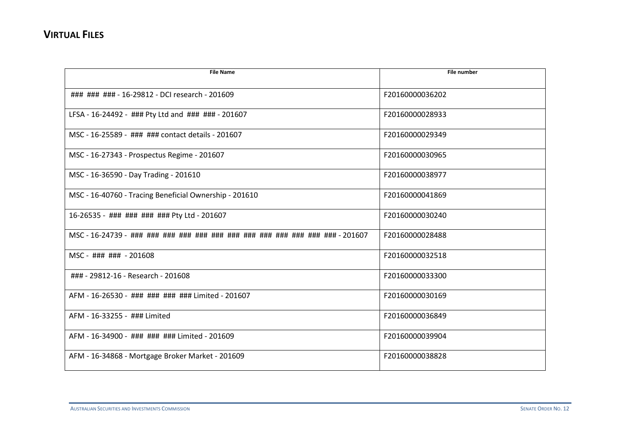| <b>File Name</b>                                       | <b>File number</b> |
|--------------------------------------------------------|--------------------|
|                                                        |                    |
| ### ### ### - 16-29812 - DCI research - 201609         | F20160000036202    |
| LFSA - 16-24492 - ### Pty Ltd and ### ### - 201607     | F20160000028933    |
| MSC - 16-25589 - ### ### contact details - 201607      | F20160000029349    |
| MSC - 16-27343 - Prospectus Regime - 201607            | F20160000030965    |
| MSC - 16-36590 - Day Trading - 201610                  | F20160000038977    |
| MSC - 16-40760 - Tracing Beneficial Ownership - 201610 | F20160000041869    |
| 16-26535 - ### ### ### ### Pty Ltd - 201607            | F20160000030240    |
|                                                        | F20160000028488    |
| MSC - ### ### - 201608                                 | F20160000032518    |
| ### - 29812-16 - Research - 201608                     | F20160000033300    |
| AFM - 16-26530 - ### ### ### ### Limited - 201607      | F20160000030169    |
| AFM - 16-33255 - ### Limited                           | F20160000036849    |
| AFM - 16-34900 - ### ### ### Limited - 201609          | F20160000039904    |
| AFM - 16-34868 - Mortgage Broker Market - 201609       | F20160000038828    |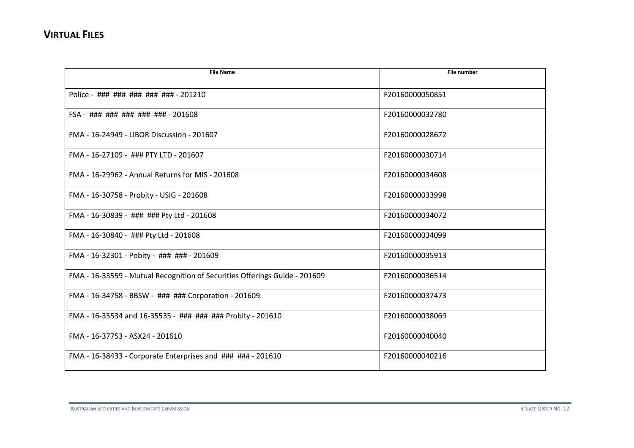| <b>File Name</b>                                                           | <b>File number</b> |
|----------------------------------------------------------------------------|--------------------|
|                                                                            |                    |
| Police - ### ### ### ### ### - 201210                                      | F20160000050851    |
| FSA - ### ### ### ### ### - 201608                                         | F20160000032780    |
| FMA - 16-24949 - LIBOR Discussion - 201607                                 | F20160000028672    |
| FMA - 16-27109 - ### PTY LTD - 201607                                      | F20160000030714    |
| FMA - 16-29962 - Annual Returns for MIS - 201608                           | F20160000034608    |
| FMA - 16-30758 - Probity - USIG - 201608                                   | F20160000033998    |
| FMA - 16-30839 - ### ### Pty Ltd - 201608                                  | F20160000034072    |
| FMA - 16-30840 - ### Pty Ltd - 201608                                      | F20160000034099    |
| FMA - 16-32301 - Pobity - ### ### - 201609                                 | F20160000035913    |
| FMA - 16-33559 - Mutual Recognition of Securities Offerings Guide - 201609 | F20160000036514    |
| FMA - 16-34758 - BBSW - ### ### Corporation - 201609                       | F20160000037473    |
| FMA - 16-35534 and 16-35535 - ### ### ### Probity - 201610                 | F20160000038069    |
| FMA - 16-37753 - ASX24 - 201610                                            | F20160000040040    |
| FMA - 16-38433 - Corporate Enterprises and ### ### - 201610                | F20160000040216    |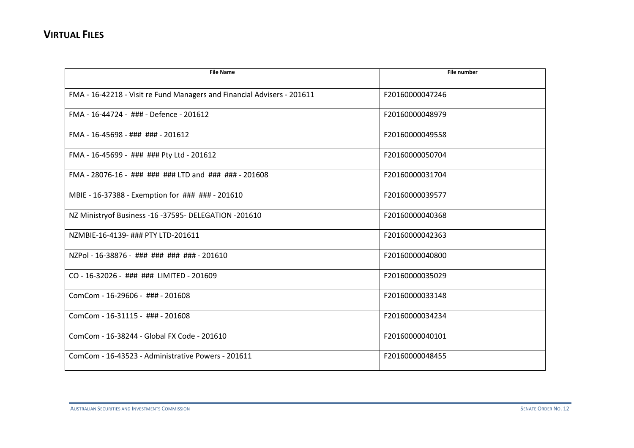| <b>File Name</b>                                                        | <b>File number</b> |
|-------------------------------------------------------------------------|--------------------|
| FMA - 16-42218 - Visit re Fund Managers and Financial Advisers - 201611 | F20160000047246    |
| FMA - 16-44724 - ### - Defence - 201612                                 | F20160000048979    |
| FMA - 16-45698 - ### ### - 201612                                       | F20160000049558    |
| FMA - 16-45699 - ### ### Pty Ltd - 201612                               | F20160000050704    |
| FMA - 28076-16 - ### ### ### LTD and ### ### - 201608                   | F20160000031704    |
| MBIE - 16-37388 - Exemption for ### ### - 201610                        | F20160000039577    |
| NZ Ministryof Business -16 -37595- DELEGATION -201610                   | F20160000040368    |
| NZMBIE-16-4139- ### PTY LTD-201611                                      | F20160000042363    |
| NZPol - 16-38876 - ### ### ### ### - 201610                             | F20160000040800    |
| CO - 16-32026 - ### ### LIMITED - 201609                                | F20160000035029    |
| ComCom - 16-29606 - ### - 201608                                        | F20160000033148    |
| ComCom - 16-31115 - ### - 201608                                        | F20160000034234    |
| ComCom - 16-38244 - Global FX Code - 201610                             | F20160000040101    |
| ComCom - 16-43523 - Administrative Powers - 201611                      | F20160000048455    |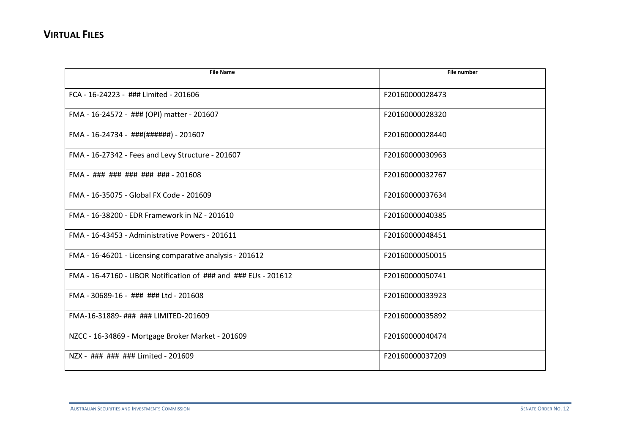| <b>File Name</b>                                                | <b>File number</b> |
|-----------------------------------------------------------------|--------------------|
| FCA - 16-24223 - ### Limited - 201606                           | F20160000028473    |
| FMA - 16-24572 - ### (OPI) matter - 201607                      | F20160000028320    |
| FMA - 16-24734 - ###(######) - 201607                           | F20160000028440    |
| FMA - 16-27342 - Fees and Levy Structure - 201607               | F20160000030963    |
| FMA - ### ### ### ### ### - 201608                              | F20160000032767    |
| FMA - 16-35075 - Global FX Code - 201609                        | F20160000037634    |
| FMA - 16-38200 - EDR Framework in NZ - 201610                   | F20160000040385    |
| FMA - 16-43453 - Administrative Powers - 201611                 | F20160000048451    |
| FMA - 16-46201 - Licensing comparative analysis - 201612        | F20160000050015    |
| FMA - 16-47160 - LIBOR Notification of ### and ### EUs - 201612 | F20160000050741    |
| FMA - 30689-16 - ### ### Ltd - 201608                           | F20160000033923    |
| FMA-16-31889- ### ### LIMITED-201609                            | F20160000035892    |
| NZCC - 16-34869 - Mortgage Broker Market - 201609               | F20160000040474    |
| NZX - ### ### ### Limited - 201609                              | F20160000037209    |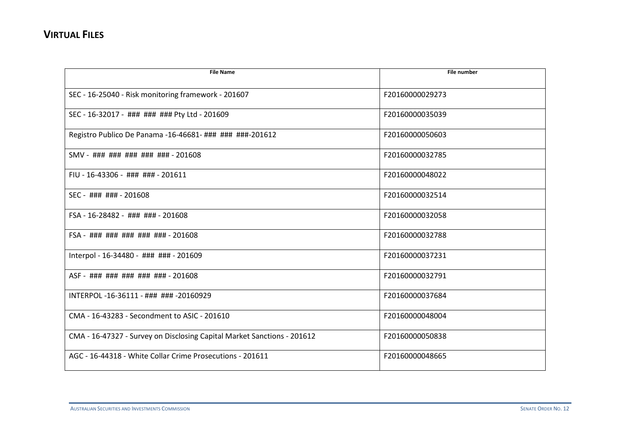| <b>File Name</b>                                                        | <b>File number</b> |
|-------------------------------------------------------------------------|--------------------|
| SEC - 16-25040 - Risk monitoring framework - 201607                     | F20160000029273    |
| SEC - 16-32017 - ### ### ### Pty Ltd - 201609                           | F20160000035039    |
| Registro Publico De Panama -16-46681- ### ### ###-201612                | F20160000050603    |
| SMV - ### ### ### ### ### - 201608                                      | F20160000032785    |
| FIU - 16-43306 - ### ### - 201611                                       | F20160000048022    |
| SEC - ### ### - 201608                                                  | F20160000032514    |
| FSA - 16-28482 - ### ### - 201608                                       | F20160000032058    |
| FSA - ### ### ### ### ### - 201608                                      | F20160000032788    |
| Interpol - 16-34480 - ### ### - 201609                                  | F20160000037231    |
| ASF - ### ### ### ### ### - 201608                                      | F20160000032791    |
| INTERPOL-16-36111 - ### ### -20160929                                   | F20160000037684    |
| CMA - 16-43283 - Secondment to ASIC - 201610                            | F20160000048004    |
| CMA - 16-47327 - Survey on Disclosing Capital Market Sanctions - 201612 | F20160000050838    |
| AGC - 16-44318 - White Collar Crime Prosecutions - 201611               | F20160000048665    |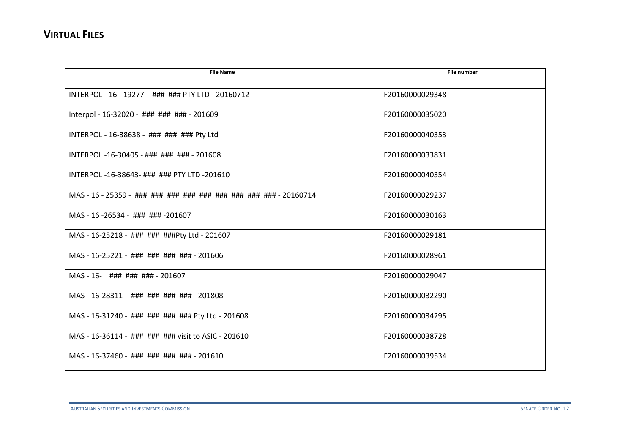| <b>File Name</b>                                              | <b>File number</b> |
|---------------------------------------------------------------|--------------------|
|                                                               |                    |
| INTERPOL - 16 - 19277 - ### ### PTY LTD - 20160712            | F20160000029348    |
| Interpol - 16-32020 - ### ### ### - 201609                    | F20160000035020    |
| INTERPOL - 16-38638 - ### ### ### Pty Ltd                     | F20160000040353    |
| INTERPOL-16-30405 - ### ### ### - 201608                      | F20160000033831    |
| INTERPOL-16-38643-#######PTYLTD-201610                        | F20160000040354    |
| MAS - 16 - 25359 - ### ### ### ### ### ### ### ### + 20160714 | F20160000029237    |
| MAS - 16 -26534 - ### ### -201607                             | F20160000030163    |
| MAS - 16-25218 - ### ### ###Pty Ltd - 201607                  | F20160000029181    |
| MAS - 16-25221 - ### ### ### ### - 201606                     | F20160000028961    |
| MAS-16- ### ### ### - 201607                                  | F20160000029047    |
| MAS - 16-28311 - ### ### ### ### - 201808                     | F20160000032290    |
| MAS - 16-31240 - ### ### ### ### Pty Ltd - 201608             | F20160000034295    |
| MAS - 16-36114 - ### ### ### visit to ASIC - 201610           | F20160000038728    |
| MAS - 16-37460 - ### ### ### ### - 201610                     | F20160000039534    |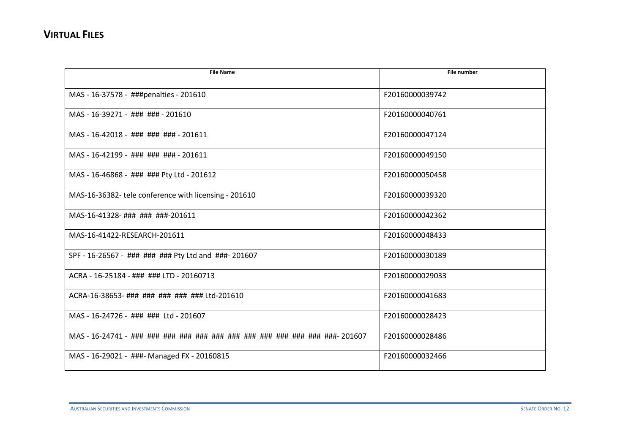| <b>File Name</b>                                      | <b>File number</b> |
|-------------------------------------------------------|--------------------|
| MAS - 16-37578 - ###penalties - 201610                | F20160000039742    |
| MAS - 16-39271 - ### ### - 201610                     | F20160000040761    |
| MAS-16-42018 - ### ### ### - 201611                   | F20160000047124    |
| MAS - 16-42199 - ### ### ### - 201611                 | F20160000049150    |
| MAS - 16-46868 - ### ### Pty Ltd - 201612             | F20160000050458    |
| MAS-16-36382- tele conference with licensing - 201610 | F20160000039320    |
| MAS-16-41328-###########-201611                       | F20160000042362    |
| MAS-16-41422-RESEARCH-201611                          | F20160000048433    |
| SPF - 16-26567 - ### ### ### Pty Ltd and ###- 201607  | F20160000030189    |
| ACRA - 16-25184 - ### ### LTD - 20160713              | F20160000029033    |
| ACRA-16-38653- ### ### ### ### ### Ltd-201610         | F20160000041683    |
| MAS - 16-24726 - ### ### Ltd - 201607                 | F20160000028423    |
|                                                       | F20160000028486    |
| MAS - 16-29021 - ###- Managed FX - 20160815           | F20160000032466    |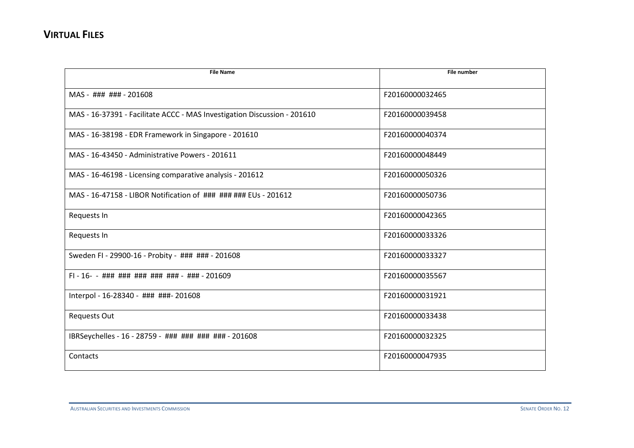| <b>File Name</b>                                                         | <b>File number</b> |
|--------------------------------------------------------------------------|--------------------|
| MAS - ### ### - 201608                                                   | F20160000032465    |
| MAS - 16-37391 - Facilitate ACCC - MAS Investigation Discussion - 201610 | F20160000039458    |
| MAS - 16-38198 - EDR Framework in Singapore - 201610                     | F20160000040374    |
| MAS - 16-43450 - Administrative Powers - 201611                          | F20160000048449    |
| MAS - 16-46198 - Licensing comparative analysis - 201612                 | F20160000050326    |
| MAS - 16-47158 - LIBOR Notification of ### ### ### EUs - 201612          | F20160000050736    |
| Requests In                                                              | F20160000042365    |
| Requests In                                                              | F20160000033326    |
| Sweden FI - 29900-16 - Probity - ### ### - 201608                        | F20160000033327    |
| $FI - 16 - -$ ### ### ### ### ### - ### - 201609                         | F20160000035567    |
| Interpol - 16-28340 - ### ###- 201608                                    | F20160000031921    |
| <b>Requests Out</b>                                                      | F20160000033438    |
| IBRSeychelles - 16 - 28759 - ### ### ### ### - 201608                    | F20160000032325    |
| Contacts                                                                 | F20160000047935    |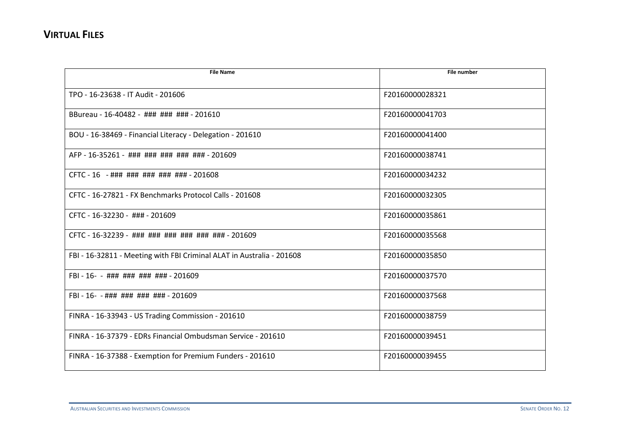| <b>File Name</b>                                                      | <b>File number</b> |
|-----------------------------------------------------------------------|--------------------|
| TPO - 16-23638 - IT Audit - 201606                                    | F20160000028321    |
| BBureau - 16-40482 - ### ### ### - 201610                             | F20160000041703    |
| BOU - 16-38469 - Financial Literacy - Delegation - 201610             | F20160000041400    |
| AFP - 16-35261 - ### ### ### ### ### - 201609                         | F20160000038741    |
| CFTC - 16 - ### ### ### ### ### - 201608                              | F20160000034232    |
| CFTC - 16-27821 - FX Benchmarks Protocol Calls - 201608               | F20160000032305    |
| CFTC - 16-32230 - ### - 201609                                        | F20160000035861    |
| CFTC - 16-32239 - ### ### ### ### ### ### - 201609                    | F20160000035568    |
| FBI - 16-32811 - Meeting with FBI Criminal ALAT in Australia - 201608 | F20160000035850    |
|                                                                       | F20160000037570    |
| FBI - 16- - ### ### ### ### - 201609                                  | F20160000037568    |
| FINRA - 16-33943 - US Trading Commission - 201610                     | F20160000038759    |
| FINRA - 16-37379 - EDRs Financial Ombudsman Service - 201610          | F20160000039451    |
| FINRA - 16-37388 - Exemption for Premium Funders - 201610             | F20160000039455    |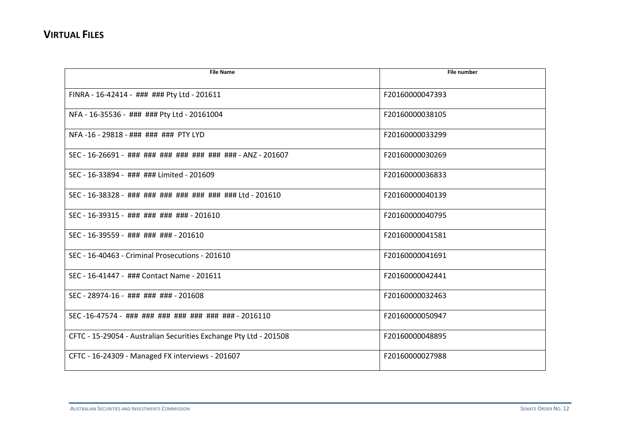| <b>File Name</b>                                                  | File number     |
|-------------------------------------------------------------------|-----------------|
| FINRA - 16-42414 - ### ### Pty Ltd - 201611                       | F20160000047393 |
| NFA - 16-35536 - ### ### Pty Ltd - 20161004                       | F20160000038105 |
| NFA-16-29818-########### PTY LYD                                  | F20160000033299 |
| SEC - 16-26691 - ### ### ### ### ### ### ### - ANZ - 201607       | F20160000030269 |
| SEC - 16-33894 - ### ### Limited - 201609                         | F20160000036833 |
| SEC - 16-38328 - ### ### ### ### ### ### ### Ltd - 201610         | F20160000040139 |
| SEC - 16-39315 - ### ### ### ### - 201610                         | F20160000040795 |
| SEC - 16-39559 - ### ### ### - 201610                             | F20160000041581 |
| SEC - 16-40463 - Criminal Prosecutions - 201610                   | F20160000041691 |
| SEC - 16-41447 - ### Contact Name - 201611                        | F20160000042441 |
| SEC - 28974-16 - ### ### ### - 201608                             | F20160000032463 |
| SEC-16-47574 - ### ### ### ### ### ### ### - 2016110              | F20160000050947 |
| CFTC - 15-29054 - Australian Securities Exchange Pty Ltd - 201508 | F20160000048895 |
| CFTC - 16-24309 - Managed FX interviews - 201607                  | F20160000027988 |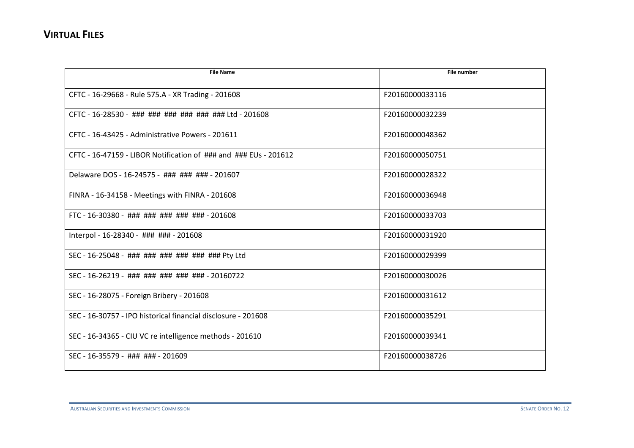| <b>File Name</b>                                                         | <b>File number</b> |
|--------------------------------------------------------------------------|--------------------|
| CFTC - 16-29668 - Rule 575.A - XR Trading - 201608                       | F20160000033116    |
| CFTC - 16-28530 - ### ### ### ### ### ### Ltd - 201608                   | F20160000032239    |
| CFTC - 16-43425 - Administrative Powers - 201611                         | F20160000048362    |
| CFTC - 16-47159 - LIBOR Notification of $\#$ ## and $\#$ ## EUs - 201612 | F20160000050751    |
| Delaware DOS - 16-24575 - ### ### ### - 201607                           | F20160000028322    |
| FINRA - 16-34158 - Meetings with FINRA - 201608                          | F20160000036948    |
| FTC - 16-30380 - ### ### ### ### ### - 201608                            | F20160000033703    |
| Interpol - 16-28340 - ### ### - 201608                                   | F20160000031920    |
| SEC - 16-25048 - ### ### ### ### ### ### Pty Ltd                         | F20160000029399    |
| SEC - 16-26219 - ### ### ### ### ### - 20160722                          | F20160000030026    |
| SEC - 16-28075 - Foreign Bribery - 201608                                | F20160000031612    |
| SEC - 16-30757 - IPO historical financial disclosure - 201608            | F20160000035291    |
| SEC - 16-34365 - CIU VC re intelligence methods - 201610                 | F20160000039341    |
| SEC - 16-35579 - ### ### - 201609                                        | F20160000038726    |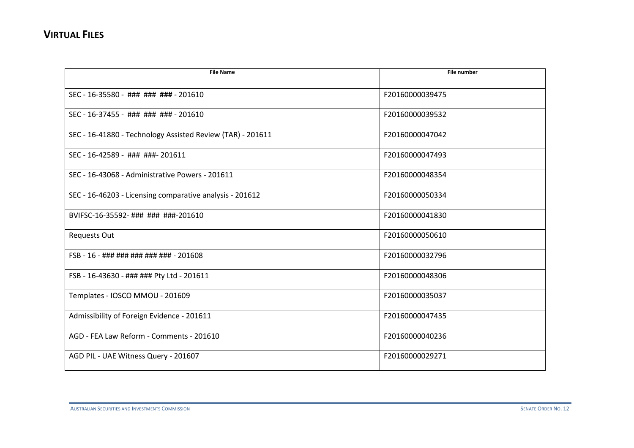| <b>File Name</b>                                           | <b>File number</b> |
|------------------------------------------------------------|--------------------|
| SEC - 16-35580 - ### ### ### - 201610                      | F20160000039475    |
| SEC - 16-37455 - ### ### ### - 201610                      | F20160000039532    |
| SEC - 16-41880 - Technology Assisted Review (TAR) - 201611 | F20160000047042    |
| SEC - 16-42589 - ### ###- 201611                           | F20160000047493    |
| SEC - 16-43068 - Administrative Powers - 201611            | F20160000048354    |
| SEC - 16-46203 - Licensing comparative analysis - 201612   | F20160000050334    |
| BVIFSC-16-35592-### ### ###-201610                         | F20160000041830    |
| <b>Requests Out</b>                                        | F20160000050610    |
| FSB - 16 - ### ### ### ### ### - 201608                    | F20160000032796    |
| FSB - 16-43630 - ### ### Pty Ltd - 201611                  | F20160000048306    |
| Templates - IOSCO MMOU - 201609                            | F20160000035037    |
| Admissibility of Foreign Evidence - 201611                 | F20160000047435    |
| AGD - FEA Law Reform - Comments - 201610                   | F20160000040236    |
| AGD PIL - UAE Witness Query - 201607                       | F20160000029271    |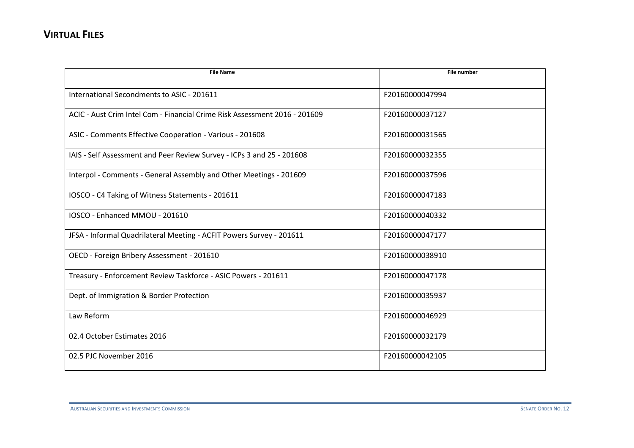| <b>File Name</b>                                                           | <b>File number</b> |
|----------------------------------------------------------------------------|--------------------|
| International Secondments to ASIC - 201611                                 | F20160000047994    |
| ACIC - Aust Crim Intel Com - Financial Crime Risk Assessment 2016 - 201609 | F20160000037127    |
| ASIC - Comments Effective Cooperation - Various - 201608                   | F20160000031565    |
| IAIS - Self Assessment and Peer Review Survey - ICPs 3 and 25 - 201608     | F20160000032355    |
| Interpol - Comments - General Assembly and Other Meetings - 201609         | F20160000037596    |
| IOSCO - C4 Taking of Witness Statements - 201611                           | F20160000047183    |
| IOSCO - Enhanced MMOU - 201610                                             | F20160000040332    |
| JFSA - Informal Quadrilateral Meeting - ACFIT Powers Survey - 201611       | F20160000047177    |
| OECD - Foreign Bribery Assessment - 201610                                 | F20160000038910    |
| Treasury - Enforcement Review Taskforce - ASIC Powers - 201611             | F20160000047178    |
| Dept. of Immigration & Border Protection                                   | F20160000035937    |
| Law Reform                                                                 | F20160000046929    |
| 02.4 October Estimates 2016                                                | F20160000032179    |
| 02.5 PJC November 2016                                                     | F20160000042105    |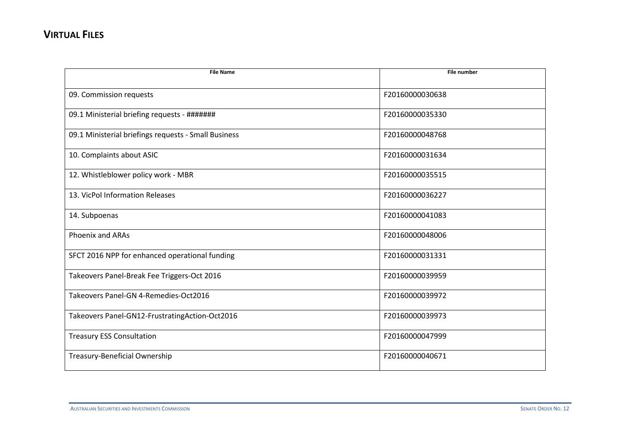| <b>File Name</b>                                     | <b>File number</b> |
|------------------------------------------------------|--------------------|
| 09. Commission requests                              | F20160000030638    |
| 09.1 Ministerial briefing requests - #######         | F20160000035330    |
| 09.1 Ministerial briefings requests - Small Business | F20160000048768    |
| 10. Complaints about ASIC                            | F20160000031634    |
| 12. Whistleblower policy work - MBR                  | F20160000035515    |
| 13. VicPol Information Releases                      | F20160000036227    |
| 14. Subpoenas                                        | F20160000041083    |
| <b>Phoenix and ARAs</b>                              | F20160000048006    |
| SFCT 2016 NPP for enhanced operational funding       | F20160000031331    |
| Takeovers Panel-Break Fee Triggers-Oct 2016          | F20160000039959    |
| Takeovers Panel-GN 4-Remedies-Oct2016                | F20160000039972    |
| Takeovers Panel-GN12-FrustratingAction-Oct2016       | F20160000039973    |
| <b>Treasury ESS Consultation</b>                     | F20160000047999    |
| Treasury-Beneficial Ownership                        | F20160000040671    |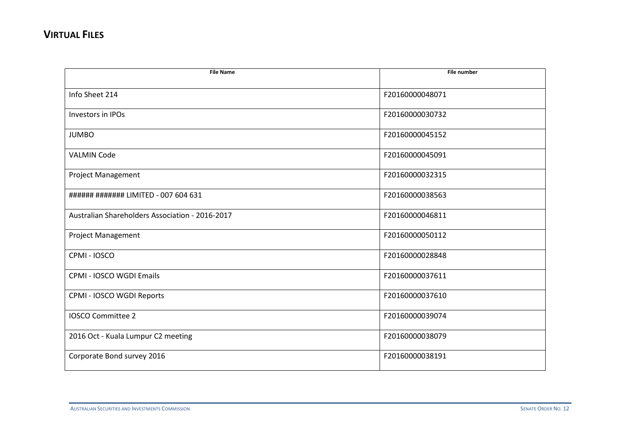| <b>File Name</b>                                | <b>File number</b> |
|-------------------------------------------------|--------------------|
| Info Sheet 214                                  | F20160000048071    |
| Investors in IPOs                               | F20160000030732    |
| <b>JUMBO</b>                                    | F20160000045152    |
| <b>VALMIN Code</b>                              | F20160000045091    |
| Project Management                              | F20160000032315    |
| ###### ####### LIMITED - 007 604 631            | F20160000038563    |
| Australian Shareholders Association - 2016-2017 | F20160000046811    |
| Project Management                              | F20160000050112    |
| CPMI-IOSCO                                      | F20160000028848    |
| CPMI - IOSCO WGDI Emails                        | F20160000037611    |
| CPMI - IOSCO WGDI Reports                       | F20160000037610    |
| <b>IOSCO Committee 2</b>                        | F20160000039074    |
| 2016 Oct - Kuala Lumpur C2 meeting              | F20160000038079    |
| Corporate Bond survey 2016                      | F20160000038191    |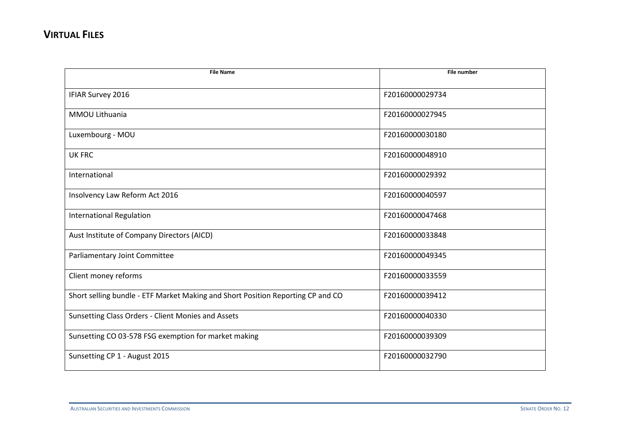| <b>File Name</b>                                                                | <b>File number</b> |
|---------------------------------------------------------------------------------|--------------------|
|                                                                                 |                    |
| IFIAR Survey 2016                                                               | F20160000029734    |
| <b>MMOU Lithuania</b>                                                           | F20160000027945    |
| Luxembourg - MOU                                                                | F20160000030180    |
| <b>UK FRC</b>                                                                   | F20160000048910    |
| International                                                                   | F20160000029392    |
| Insolvency Law Reform Act 2016                                                  | F20160000040597    |
| <b>International Regulation</b>                                                 | F20160000047468    |
| Aust Institute of Company Directors (AICD)                                      | F20160000033848    |
| Parliamentary Joint Committee                                                   | F20160000049345    |
| Client money reforms                                                            | F20160000033559    |
| Short selling bundle - ETF Market Making and Short Position Reporting CP and CO | F20160000039412    |
| Sunsetting Class Orders - Client Monies and Assets                              | F20160000040330    |
| Sunsetting CO 03-578 FSG exemption for market making                            | F20160000039309    |
| Sunsetting CP 1 - August 2015                                                   | F20160000032790    |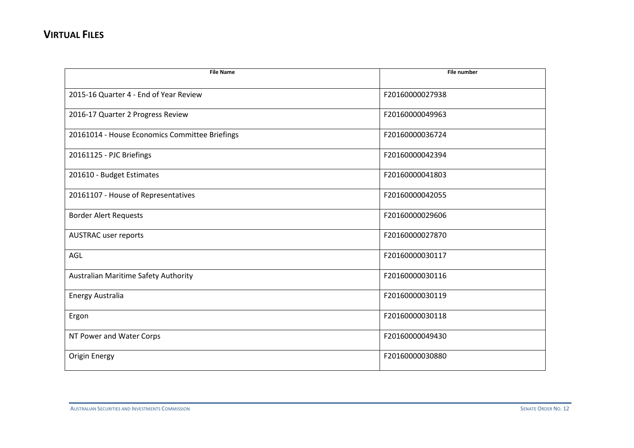| <b>File Name</b>                               | <b>File number</b> |
|------------------------------------------------|--------------------|
|                                                |                    |
| 2015-16 Quarter 4 - End of Year Review         | F20160000027938    |
| 2016-17 Quarter 2 Progress Review              | F20160000049963    |
| 20161014 - House Economics Committee Briefings | F20160000036724    |
| 20161125 - PJC Briefings                       | F20160000042394    |
| 201610 - Budget Estimates                      | F20160000041803    |
| 20161107 - House of Representatives            | F20160000042055    |
| <b>Border Alert Requests</b>                   | F20160000029606    |
| <b>AUSTRAC</b> user reports                    | F20160000027870    |
| AGL                                            | F20160000030117    |
| Australian Maritime Safety Authority           | F20160000030116    |
| Energy Australia                               | F20160000030119    |
| Ergon                                          | F20160000030118    |
| NT Power and Water Corps                       | F20160000049430    |
| <b>Origin Energy</b>                           | F20160000030880    |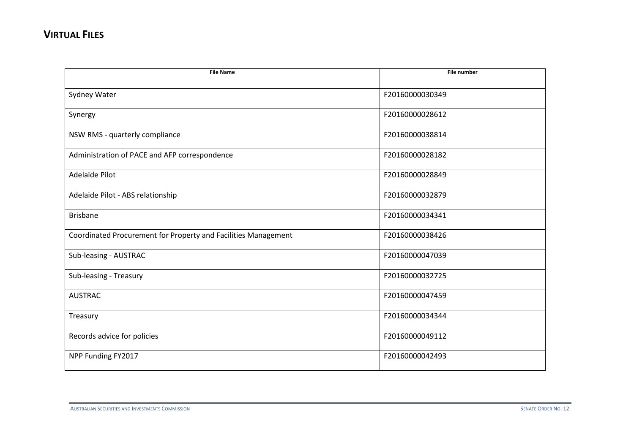| <b>File Name</b>                                               | <b>File number</b> |
|----------------------------------------------------------------|--------------------|
|                                                                |                    |
| Sydney Water                                                   | F20160000030349    |
| Synergy                                                        | F20160000028612    |
| NSW RMS - quarterly compliance                                 | F20160000038814    |
| Administration of PACE and AFP correspondence                  | F20160000028182    |
| Adelaide Pilot                                                 | F20160000028849    |
| Adelaide Pilot - ABS relationship                              | F20160000032879    |
| <b>Brisbane</b>                                                | F20160000034341    |
| Coordinated Procurement for Property and Facilities Management | F20160000038426    |
| Sub-leasing - AUSTRAC                                          | F20160000047039    |
| Sub-leasing - Treasury                                         | F20160000032725    |
| <b>AUSTRAC</b>                                                 | F20160000047459    |
| Treasury                                                       | F20160000034344    |
| Records advice for policies                                    | F20160000049112    |
| NPP Funding FY2017                                             | F20160000042493    |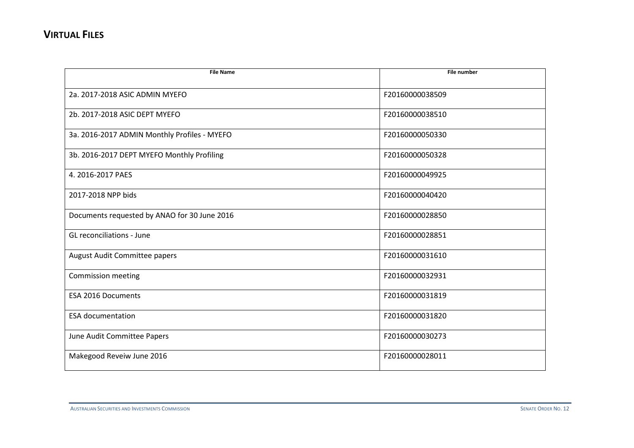| <b>File Name</b>                             | <b>File number</b> |
|----------------------------------------------|--------------------|
|                                              |                    |
| 2a. 2017-2018 ASIC ADMIN MYEFO               | F20160000038509    |
| 2b. 2017-2018 ASIC DEPT MYEFO                | F20160000038510    |
| 3a. 2016-2017 ADMIN Monthly Profiles - MYEFO | F20160000050330    |
| 3b. 2016-2017 DEPT MYEFO Monthly Profiling   | F20160000050328    |
| 4. 2016-2017 PAES                            | F20160000049925    |
| 2017-2018 NPP bids                           | F20160000040420    |
| Documents requested by ANAO for 30 June 2016 | F20160000028850    |
| <b>GL</b> reconciliations - June             | F20160000028851    |
| August Audit Committee papers                | F20160000031610    |
| <b>Commission meeting</b>                    | F20160000032931    |
| <b>ESA 2016 Documents</b>                    | F20160000031819    |
| <b>ESA documentation</b>                     | F20160000031820    |
| June Audit Committee Papers                  | F20160000030273    |
| Makegood Reveiw June 2016                    | F20160000028011    |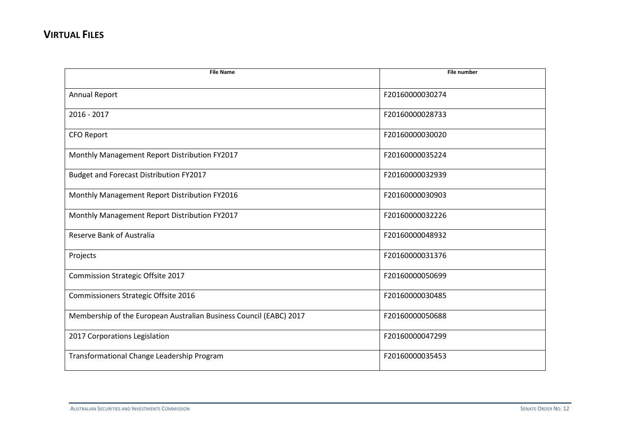| <b>File Name</b>                                                   | <b>File number</b> |
|--------------------------------------------------------------------|--------------------|
| Annual Report                                                      | F20160000030274    |
| $2016 - 2017$                                                      | F20160000028733    |
| <b>CFO Report</b>                                                  | F20160000030020    |
| Monthly Management Report Distribution FY2017                      | F20160000035224    |
| Budget and Forecast Distribution FY2017                            | F20160000032939    |
| Monthly Management Report Distribution FY2016                      | F20160000030903    |
| Monthly Management Report Distribution FY2017                      | F20160000032226    |
| Reserve Bank of Australia                                          | F20160000048932    |
| Projects                                                           | F20160000031376    |
| <b>Commission Strategic Offsite 2017</b>                           | F20160000050699    |
| Commissioners Strategic Offsite 2016                               | F20160000030485    |
| Membership of the European Australian Business Council (EABC) 2017 | F20160000050688    |
| 2017 Corporations Legislation                                      | F20160000047299    |
| Transformational Change Leadership Program                         | F20160000035453    |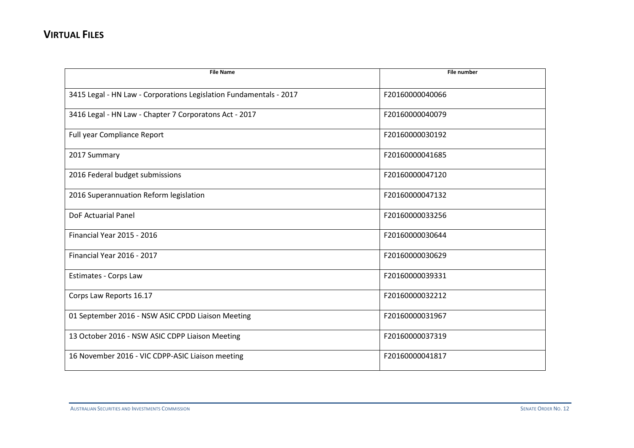| <b>File Name</b>                                                   | <b>File number</b> |
|--------------------------------------------------------------------|--------------------|
|                                                                    |                    |
| 3415 Legal - HN Law - Corporations Legislation Fundamentals - 2017 | F20160000040066    |
| 3416 Legal - HN Law - Chapter 7 Corporatons Act - 2017             | F20160000040079    |
| Full year Compliance Report                                        | F20160000030192    |
| 2017 Summary                                                       | F20160000041685    |
| 2016 Federal budget submissions                                    | F20160000047120    |
| 2016 Superannuation Reform legislation                             | F20160000047132    |
| <b>DoF Actuarial Panel</b>                                         | F20160000033256    |
| <b>Financial Year 2015 - 2016</b>                                  | F20160000030644    |
| Financial Year 2016 - 2017                                         | F20160000030629    |
| Estimates - Corps Law                                              | F20160000039331    |
| Corps Law Reports 16.17                                            | F20160000032212    |
| 01 September 2016 - NSW ASIC CPDD Liaison Meeting                  | F20160000031967    |
| 13 October 2016 - NSW ASIC CDPP Liaison Meeting                    | F20160000037319    |
| 16 November 2016 - VIC CDPP-ASIC Liaison meeting                   | F20160000041817    |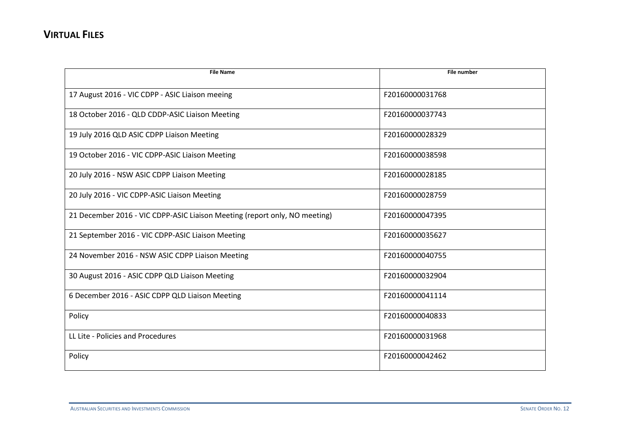| <b>File Name</b>                                                           | <b>File number</b> |
|----------------------------------------------------------------------------|--------------------|
| 17 August 2016 - VIC CDPP - ASIC Liaison meeing                            | F20160000031768    |
| 18 October 2016 - QLD CDDP-ASIC Liaison Meeting                            | F20160000037743    |
| 19 July 2016 QLD ASIC CDPP Liaison Meeting                                 | F20160000028329    |
| 19 October 2016 - VIC CDPP-ASIC Liaison Meeting                            | F20160000038598    |
| 20 July 2016 - NSW ASIC CDPP Liaison Meeting                               | F20160000028185    |
| 20 July 2016 - VIC CDPP-ASIC Liaison Meeting                               | F20160000028759    |
| 21 December 2016 - VIC CDPP-ASIC Liaison Meeting (report only, NO meeting) | F20160000047395    |
| 21 September 2016 - VIC CDPP-ASIC Liaison Meeting                          | F20160000035627    |
| 24 November 2016 - NSW ASIC CDPP Liaison Meeting                           | F20160000040755    |
| 30 August 2016 - ASIC CDPP QLD Liaison Meeting                             | F20160000032904    |
| 6 December 2016 - ASIC CDPP QLD Liaison Meeting                            | F20160000041114    |
| Policy                                                                     | F20160000040833    |
| LL Lite - Policies and Procedures                                          | F20160000031968    |
| Policy                                                                     | F20160000042462    |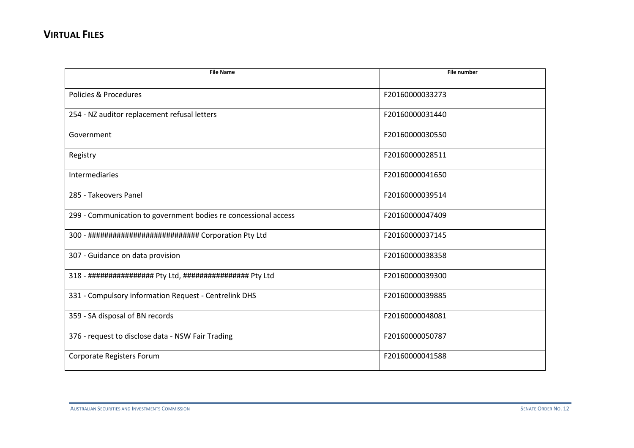| <b>File Name</b>                                                | <b>File number</b> |
|-----------------------------------------------------------------|--------------------|
| Policies & Procedures                                           | F20160000033273    |
| 254 - NZ auditor replacement refusal letters                    | F20160000031440    |
| Government                                                      | F20160000030550    |
| Registry                                                        | F20160000028511    |
| Intermediaries                                                  | F20160000041650    |
| 285 - Takeovers Panel                                           | F20160000039514    |
| 299 - Communication to government bodies re concessional access | F20160000047409    |
| 300 - ############################ Corporation Pty Ltd          | F20160000037145    |
| 307 - Guidance on data provision                                | F20160000038358    |
| 318 - ################# Pty Ltd, ################# Pty Ltd      | F20160000039300    |
| 331 - Compulsory information Request - Centrelink DHS           | F20160000039885    |
| 359 - SA disposal of BN records                                 | F20160000048081    |
| 376 - request to disclose data - NSW Fair Trading               | F20160000050787    |
| Corporate Registers Forum                                       | F20160000041588    |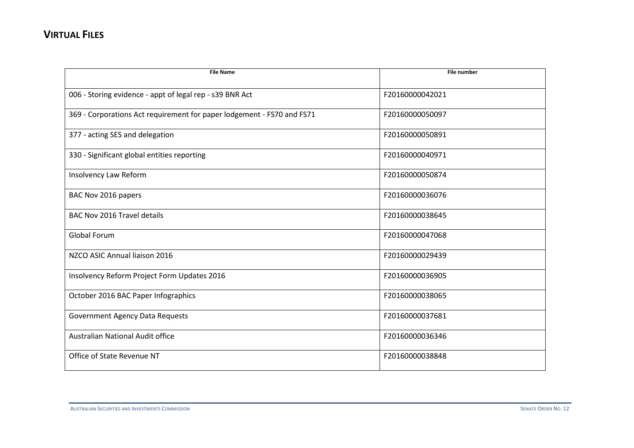| <b>File Name</b>                                                       | <b>File number</b> |
|------------------------------------------------------------------------|--------------------|
| 006 - Storing evidence - appt of legal rep - s39 BNR Act               | F20160000042021    |
| 369 - Corporations Act requirement for paper lodgement - FS70 and FS71 | F20160000050097    |
| 377 - acting SES and delegation                                        | F20160000050891    |
| 330 - Significant global entities reporting                            | F20160000040971    |
| Insolvency Law Reform                                                  | F20160000050874    |
| BAC Nov 2016 papers                                                    | F20160000036076    |
| <b>BAC Nov 2016 Travel details</b>                                     | F20160000038645    |
| <b>Global Forum</b>                                                    | F20160000047068    |
| NZCO ASIC Annual liaison 2016                                          | F20160000029439    |
| Insolvency Reform Project Form Updates 2016                            | F20160000036905    |
| October 2016 BAC Paper Infographics                                    | F20160000038065    |
| <b>Government Agency Data Requests</b>                                 | F20160000037681    |
| <b>Australian National Audit office</b>                                | F20160000036346    |
| Office of State Revenue NT                                             | F20160000038848    |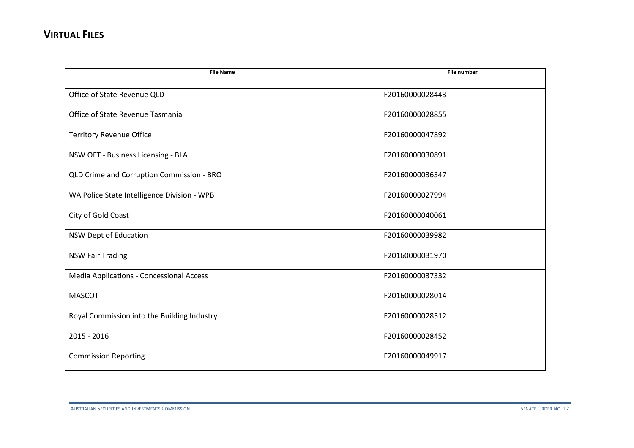| <b>File Name</b>                            | <b>File number</b> |
|---------------------------------------------|--------------------|
|                                             |                    |
| Office of State Revenue QLD                 | F20160000028443    |
| Office of State Revenue Tasmania            | F20160000028855    |
| <b>Territory Revenue Office</b>             | F20160000047892    |
| NSW OFT - Business Licensing - BLA          | F20160000030891    |
| QLD Crime and Corruption Commission - BRO   | F20160000036347    |
| WA Police State Intelligence Division - WPB | F20160000027994    |
| City of Gold Coast                          | F20160000040061    |
| NSW Dept of Education                       | F20160000039982    |
| <b>NSW Fair Trading</b>                     | F20160000031970    |
| Media Applications - Concessional Access    | F20160000037332    |
| <b>MASCOT</b>                               | F20160000028014    |
| Royal Commission into the Building Industry | F20160000028512    |
| 2015 - 2016                                 | F20160000028452    |
| <b>Commission Reporting</b>                 | F20160000049917    |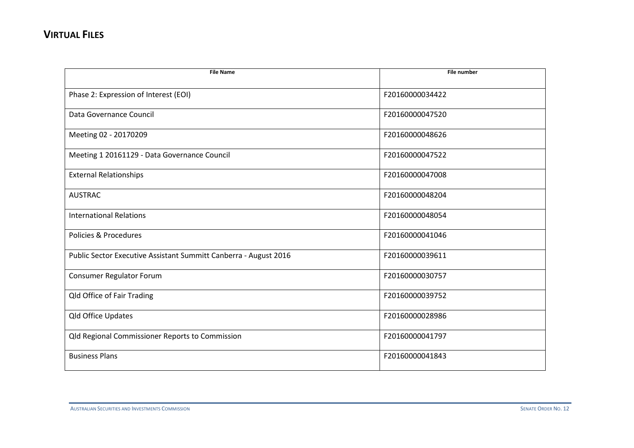| <b>File Name</b>                                                 | <b>File number</b> |
|------------------------------------------------------------------|--------------------|
| Phase 2: Expression of Interest (EOI)                            | F20160000034422    |
| Data Governance Council                                          | F20160000047520    |
| Meeting 02 - 20170209                                            | F20160000048626    |
| Meeting 1 20161129 - Data Governance Council                     | F20160000047522    |
| <b>External Relationships</b>                                    | F20160000047008    |
| <b>AUSTRAC</b>                                                   | F20160000048204    |
| <b>International Relations</b>                                   | F20160000048054    |
| Policies & Procedures                                            | F20160000041046    |
| Public Sector Executive Assistant Summitt Canberra - August 2016 | F20160000039611    |
| Consumer Regulator Forum                                         | F20160000030757    |
| Qld Office of Fair Trading                                       | F20160000039752    |
| Qld Office Updates                                               | F20160000028986    |
| <b>Qld Regional Commissioner Reports to Commission</b>           | F20160000041797    |
| <b>Business Plans</b>                                            | F20160000041843    |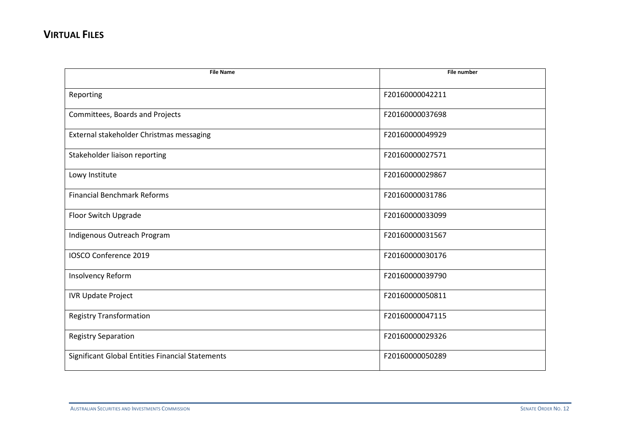| <b>File Name</b>                                 | <b>File number</b> |
|--------------------------------------------------|--------------------|
|                                                  |                    |
| Reporting                                        | F20160000042211    |
| Committees, Boards and Projects                  | F20160000037698    |
| External stakeholder Christmas messaging         | F20160000049929    |
| Stakeholder liaison reporting                    | F20160000027571    |
| Lowy Institute                                   | F20160000029867    |
| <b>Financial Benchmark Reforms</b>               | F20160000031786    |
| Floor Switch Upgrade                             | F20160000033099    |
| Indigenous Outreach Program                      | F20160000031567    |
| IOSCO Conference 2019                            | F20160000030176    |
| Insolvency Reform                                | F20160000039790    |
| <b>IVR Update Project</b>                        | F20160000050811    |
| <b>Registry Transformation</b>                   | F20160000047115    |
| <b>Registry Separation</b>                       | F20160000029326    |
| Significant Global Entities Financial Statements | F20160000050289    |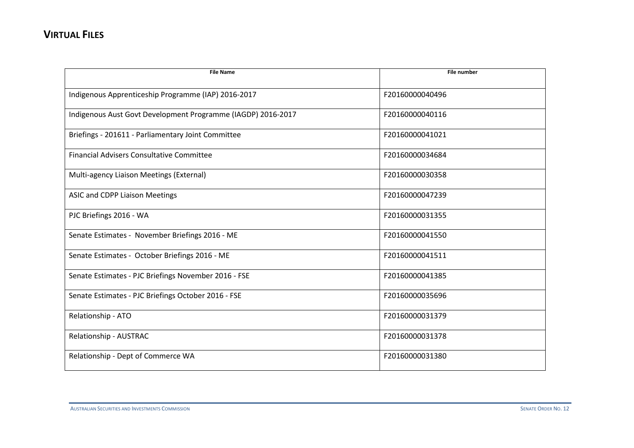| <b>File Name</b>                                             | <b>File number</b> |
|--------------------------------------------------------------|--------------------|
| Indigenous Apprenticeship Programme (IAP) 2016-2017          | F20160000040496    |
| Indigenous Aust Govt Development Programme (IAGDP) 2016-2017 | F20160000040116    |
| Briefings - 201611 - Parliamentary Joint Committee           | F20160000041021    |
| <b>Financial Advisers Consultative Committee</b>             | F20160000034684    |
| Multi-agency Liaison Meetings (External)                     | F20160000030358    |
| ASIC and CDPP Liaison Meetings                               | F20160000047239    |
| PJC Briefings 2016 - WA                                      | F20160000031355    |
| Senate Estimates - November Briefings 2016 - ME              | F20160000041550    |
| Senate Estimates - October Briefings 2016 - ME               | F20160000041511    |
| Senate Estimates - PJC Briefings November 2016 - FSE         | F20160000041385    |
| Senate Estimates - PJC Briefings October 2016 - FSE          | F20160000035696    |
| Relationship - ATO                                           | F20160000031379    |
| Relationship - AUSTRAC                                       | F20160000031378    |
| Relationship - Dept of Commerce WA                           | F20160000031380    |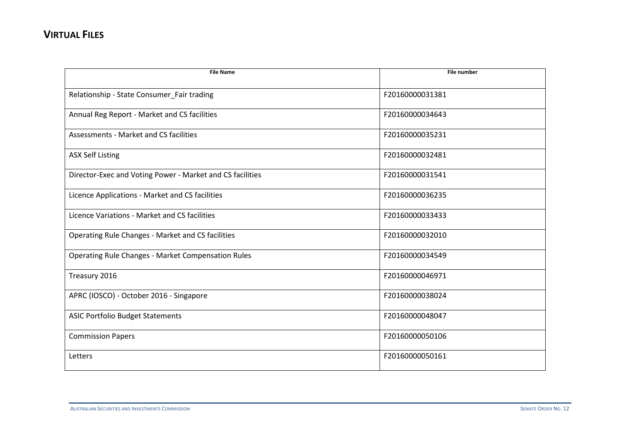| <b>File Name</b>                                          | <b>File number</b> |
|-----------------------------------------------------------|--------------------|
| Relationship - State Consumer_Fair trading                | F20160000031381    |
| Annual Reg Report - Market and CS facilities              | F20160000034643    |
| Assessments - Market and CS facilities                    | F20160000035231    |
| <b>ASX Self Listing</b>                                   | F20160000032481    |
| Director-Exec and Voting Power - Market and CS facilities | F20160000031541    |
| Licence Applications - Market and CS facilities           | F20160000036235    |
| Licence Variations - Market and CS facilities             | F20160000033433    |
| Operating Rule Changes - Market and CS facilities         | F20160000032010    |
| <b>Operating Rule Changes - Market Compensation Rules</b> | F20160000034549    |
| Treasury 2016                                             | F20160000046971    |
| APRC (IOSCO) - October 2016 - Singapore                   | F20160000038024    |
| <b>ASIC Portfolio Budget Statements</b>                   | F20160000048047    |
| <b>Commission Papers</b>                                  | F20160000050106    |
| Letters                                                   | F20160000050161    |